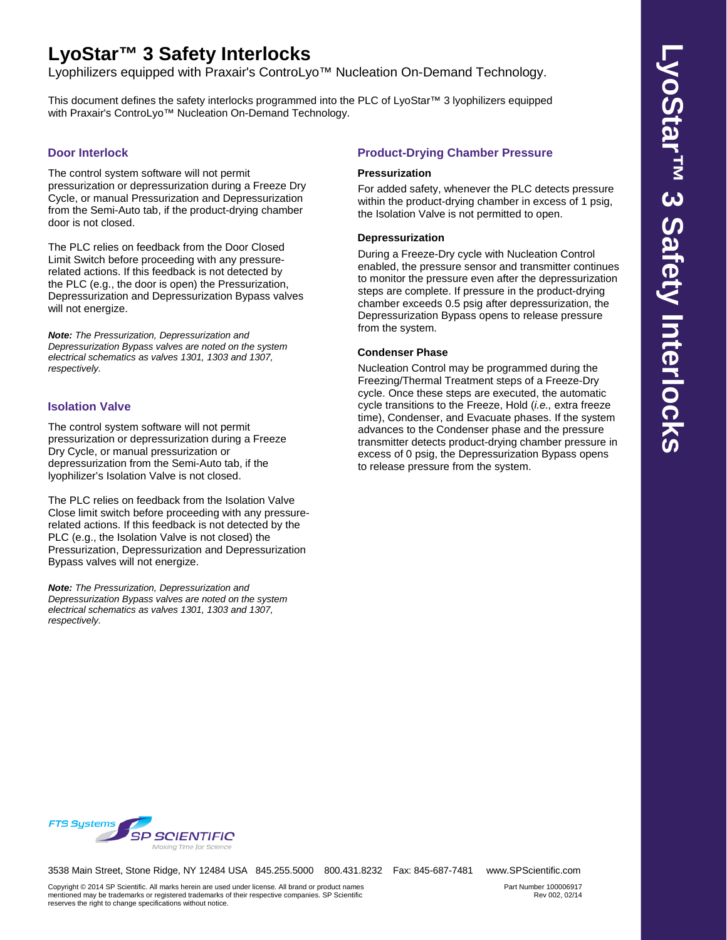# **LyoStar™ 3 Safety Interlocks**

Lyophilizers equipped with Praxair's ControLyo™ Nucleation On-Demand Technology.

This document defines the safety interlocks programmed into the PLC of LyoStar™ 3 lyophilizers equipped with Praxair's ControLvo<sup>™</sup> Nucleation On-Demand Technology.

## **Door Interlock**

The control system software will not permit pressurization or depressurization during a Freeze Dry Cycle, or manual Pressurization and Depressurization from the Semi-Auto tab, if the product-drying chamber door is not closed.

The PLC relies on feedback from the Door Closed Limit Switch before proceeding with any pressurerelated actions. If this feedback is not detected by the PLC (e.g., the door is open) the Pressurization, Depressurization and Depressurization Bypass valves will not energize.

*Note: The Pressurization, Depressurization and Depressurization Bypass valves are noted on the system electrical schematics as valves 1301, 1303 and 1307, respectively.*

## **Isolation Valve**

The control system software will not permit pressurization or depressurization during a Freeze Dry Cycle, or manual pressurization or depressurization from the Semi-Auto tab, if the lyophilizer's Isolation Valve is not closed.

The PLC relies on feedback from the Isolation Valve Close limit switch before proceeding with any pressurerelated actions. If this feedback is not detected by the PLC (e.g., the Isolation Valve is not closed) the Pressurization, Depressurization and Depressurization Bypass valves will not energize.

*Note: The Pressurization, Depressurization and Depressurization Bypass valves are noted on the system electrical schematics as valves 1301, 1303 and 1307, respectively.*

## **Product-Drying Chamber Pressure**

#### **Pressurization**

For added safety, whenever the PLC detects pressure within the product-drying chamber in excess of 1 psig, the Isolation Valve is not permitted to open.

#### **Depressurization**

During a Freeze-Dry cycle with Nucleation Control enabled, the pressure sensor and transmitter continues to monitor the pressure even after the depressurization steps are complete. If pressure in the product-drying chamber exceeds 0.5 psig after depressurization, the Depressurization Bypass opens to release pressure from the system.

## **Condenser Phase**

Nucleation Control may be programmed during the Freezing/Thermal Treatment steps of a Freeze-Dry cycle. Once these steps are executed, the automatic cycle transitions to the Freeze, Hold (*i.e.,* extra freeze time), Condenser, and Evacuate phases. If the system advances to the Condenser phase and the pressure transmitter detects product-drying chamber pressure in excess of 0 psig, the Depressurization Bypass opens to release pressure from the system.



3538 Main Street, Stone Ridge, NY 12484 USA 845.255.5000 800.431.8232 Fax: 845-687-7481 www.SPScientific.com

Part Number 100006917 Rev 002, 02/14